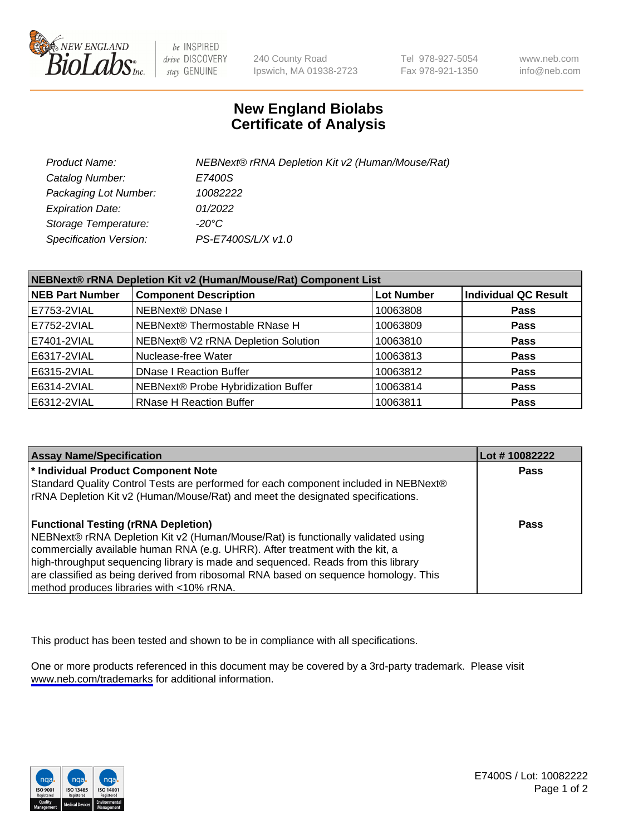

be INSPIRED drive DISCOVERY stay GENUINE

240 County Road Ipswich, MA 01938-2723 Tel 978-927-5054 Fax 978-921-1350

www.neb.com info@neb.com

## **New England Biolabs Certificate of Analysis**

| Product Name:           | NEBNext® rRNA Depletion Kit v2 (Human/Mouse/Rat) |
|-------------------------|--------------------------------------------------|
| Catalog Number:         | E7400S                                           |
| Packaging Lot Number:   | 10082222                                         |
| <b>Expiration Date:</b> | 01/2022                                          |
| Storage Temperature:    | -20°C                                            |
| Specification Version:  | PS-E7400S/L/X v1.0                               |

| NEBNext® rRNA Depletion Kit v2 (Human/Mouse/Rat) Component List |                                     |                   |                             |  |
|-----------------------------------------------------------------|-------------------------------------|-------------------|-----------------------------|--|
| <b>NEB Part Number</b>                                          | <b>Component Description</b>        | <b>Lot Number</b> | <b>Individual QC Result</b> |  |
| E7753-2VIAL                                                     | NEBNext® DNase I                    | 10063808          | <b>Pass</b>                 |  |
| E7752-2VIAL                                                     | NEBNext® Thermostable RNase H       | 10063809          | <b>Pass</b>                 |  |
| E7401-2VIAL                                                     | NEBNext® V2 rRNA Depletion Solution | 10063810          | <b>Pass</b>                 |  |
| E6317-2VIAL                                                     | Nuclease-free Water                 | 10063813          | <b>Pass</b>                 |  |
| E6315-2VIAL                                                     | <b>DNase I Reaction Buffer</b>      | 10063812          | <b>Pass</b>                 |  |
| E6314-2VIAL                                                     | NEBNext® Probe Hybridization Buffer | 10063814          | <b>Pass</b>                 |  |
| E6312-2VIAL                                                     | <b>RNase H Reaction Buffer</b>      | 10063811          | <b>Pass</b>                 |  |

| <b>Assay Name/Specification</b>                                                      | Lot # 10082222 |
|--------------------------------------------------------------------------------------|----------------|
| * Individual Product Component Note                                                  | <b>Pass</b>    |
| Standard Quality Control Tests are performed for each component included in NEBNext® |                |
| rRNA Depletion Kit v2 (Human/Mouse/Rat) and meet the designated specifications.      |                |
| <b>Functional Testing (rRNA Depletion)</b>                                           | Pass           |
| NEBNext® rRNA Depletion Kit v2 (Human/Mouse/Rat) is functionally validated using     |                |
| commercially available human RNA (e.g. UHRR). After treatment with the kit, a        |                |
| high-throughput sequencing library is made and sequenced. Reads from this library    |                |
| are classified as being derived from ribosomal RNA based on sequence homology. This  |                |
| method produces libraries with <10% rRNA.                                            |                |

This product has been tested and shown to be in compliance with all specifications.

One or more products referenced in this document may be covered by a 3rd-party trademark. Please visit <www.neb.com/trademarks>for additional information.